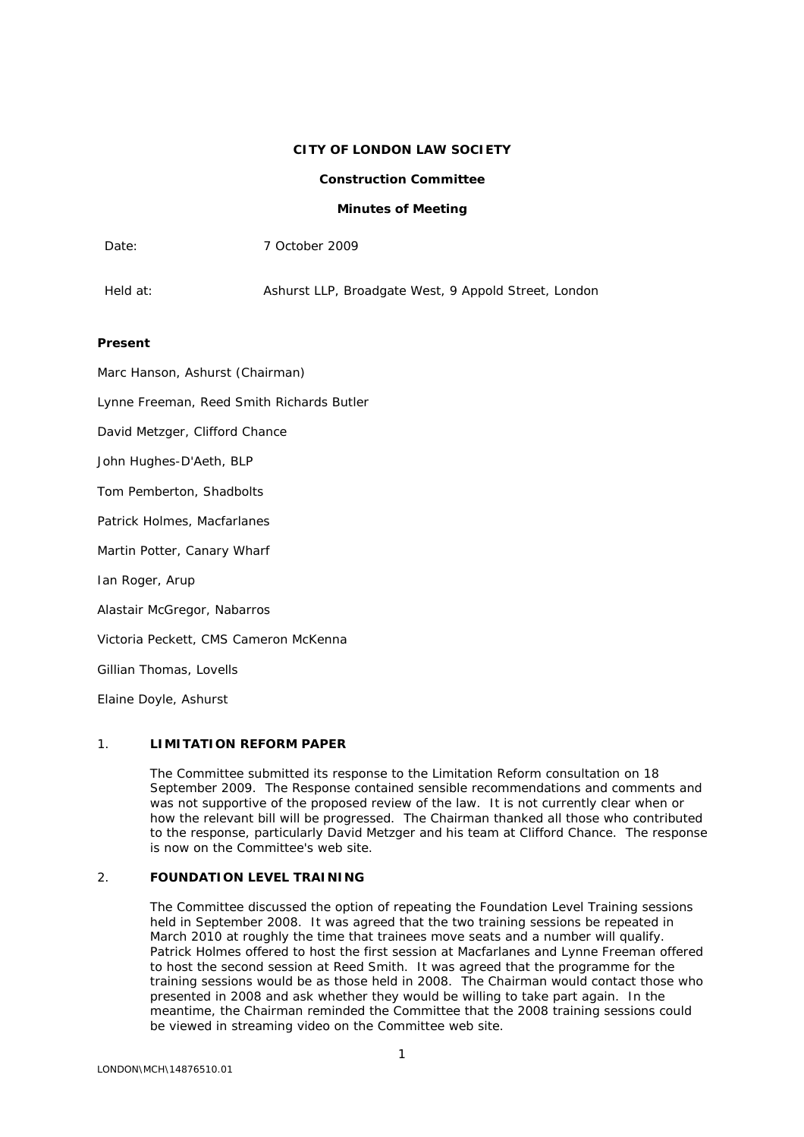### **CITY OF LONDON LAW SOCIETY**

# **Construction Committee**

### **Minutes of Meeting**

| Date:                                     | 7 October 2009                                       |
|-------------------------------------------|------------------------------------------------------|
| Held at:                                  | Ashurst LLP, Broadgate West, 9 Appold Street, London |
| Present                                   |                                                      |
| Marc Hanson, Ashurst (Chairman)           |                                                      |
| Lynne Freeman, Reed Smith Richards Butler |                                                      |
| David Metzger, Clifford Chance            |                                                      |

John Hughes-D'Aeth, BLP

Tom Pemberton, Shadbolts

Patrick Holmes, Macfarlanes

Martin Potter, Canary Wharf

Ian Roger, Arup

Alastair McGregor, Nabarros

Victoria Peckett, CMS Cameron McKenna

Gillian Thomas, Lovells

Elaine Doyle, Ashurst

## 1. **LIMITATION REFORM PAPER**

The Committee submitted its response to the Limitation Reform consultation on 18 September 2009. The Response contained sensible recommendations and comments and was not supportive of the proposed review of the law. It is not currently clear when or how the relevant bill will be progressed. The Chairman thanked all those who contributed to the response, particularly David Metzger and his team at Clifford Chance. The response is now on the Committee's web site.

## 2. **FOUNDATION LEVEL TRAINING**

The Committee discussed the option of repeating the Foundation Level Training sessions held in September 2008. It was agreed that the two training sessions be repeated in March 2010 at roughly the time that trainees move seats and a number will qualify. Patrick Holmes offered to host the first session at Macfarlanes and Lynne Freeman offered to host the second session at Reed Smith. It was agreed that the programme for the training sessions would be as those held in 2008. The Chairman would contact those who presented in 2008 and ask whether they would be willing to take part again. In the meantime, the Chairman reminded the Committee that the 2008 training sessions could be viewed in streaming video on the Committee web site.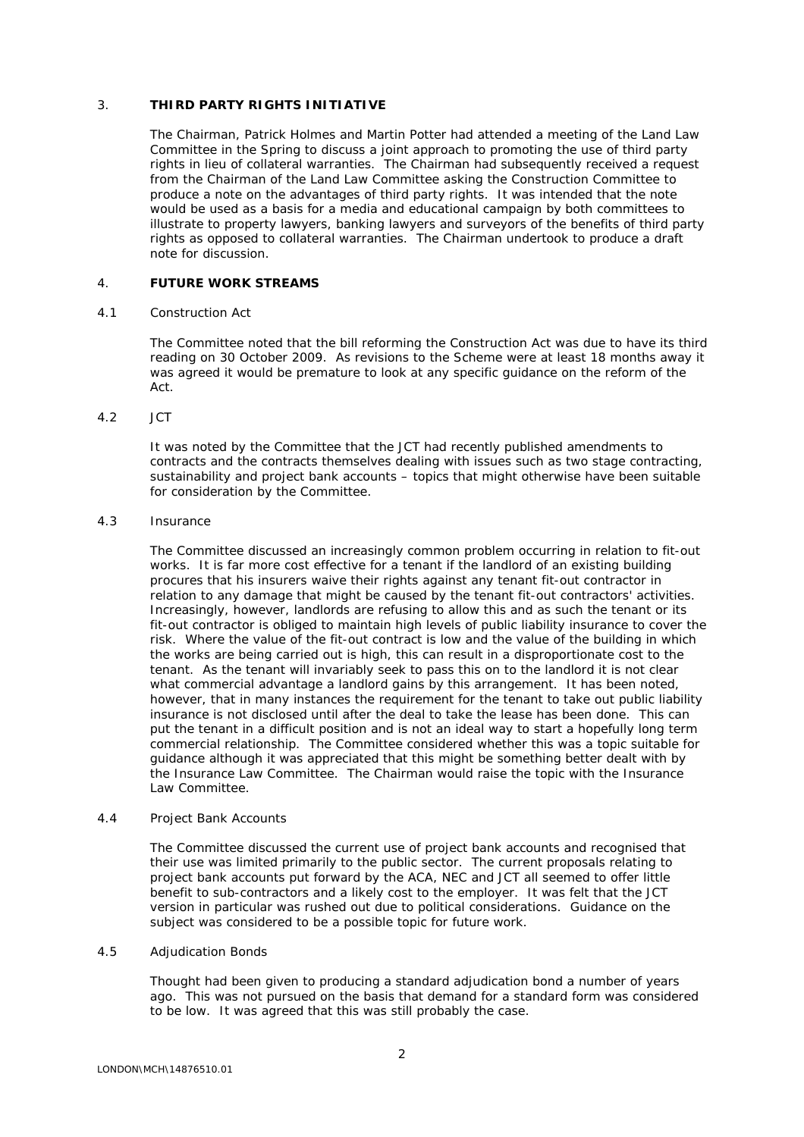## 3. **THIRD PARTY RIGHTS INITIATIVE**

The Chairman, Patrick Holmes and Martin Potter had attended a meeting of the Land Law Committee in the Spring to discuss a joint approach to promoting the use of third party rights in lieu of collateral warranties. The Chairman had subsequently received a request from the Chairman of the Land Law Committee asking the Construction Committee to produce a note on the advantages of third party rights. It was intended that the note would be used as a basis for a media and educational campaign by both committees to illustrate to property lawyers, banking lawyers and surveyors of the benefits of third party rights as opposed to collateral warranties. The Chairman undertook to produce a draft note for discussion.

## 4. **FUTURE WORK STREAMS**

### 4.1 Construction Act

The Committee noted that the bill reforming the Construction Act was due to have its third reading on 30 October 2009. As revisions to the Scheme were at least 18 months away it was agreed it would be premature to look at any specific guidance on the reform of the Act.

### 4.2 JCT

It was noted by the Committee that the JCT had recently published amendments to contracts and the contracts themselves dealing with issues such as two stage contracting, sustainability and project bank accounts – topics that might otherwise have been suitable for consideration by the Committee.

### 4.3 Insurance

The Committee discussed an increasingly common problem occurring in relation to fit-out works. It is far more cost effective for a tenant if the landlord of an existing building procures that his insurers waive their rights against any tenant fit-out contractor in relation to any damage that might be caused by the tenant fit-out contractors' activities. Increasingly, however, landlords are refusing to allow this and as such the tenant or its fit-out contractor is obliged to maintain high levels of public liability insurance to cover the risk. Where the value of the fit-out contract is low and the value of the building in which the works are being carried out is high, this can result in a disproportionate cost to the tenant. As the tenant will invariably seek to pass this on to the landlord it is not clear what commercial advantage a landlord gains by this arrangement. It has been noted, however, that in many instances the requirement for the tenant to take out public liability insurance is not disclosed until after the deal to take the lease has been done. This can put the tenant in a difficult position and is not an ideal way to start a hopefully long term commercial relationship. The Committee considered whether this was a topic suitable for guidance although it was appreciated that this might be something better dealt with by the Insurance Law Committee. The Chairman would raise the topic with the Insurance Law Committee.

### 4.4 Project Bank Accounts

The Committee discussed the current use of project bank accounts and recognised that their use was limited primarily to the public sector. The current proposals relating to project bank accounts put forward by the ACA, NEC and JCT all seemed to offer little benefit to sub-contractors and a likely cost to the employer. It was felt that the JCT version in particular was rushed out due to political considerations. Guidance on the subject was considered to be a possible topic for future work.

## 4.5 Adjudication Bonds

Thought had been given to producing a standard adjudication bond a number of years ago. This was not pursued on the basis that demand for a standard form was considered to be low. It was agreed that this was still probably the case.